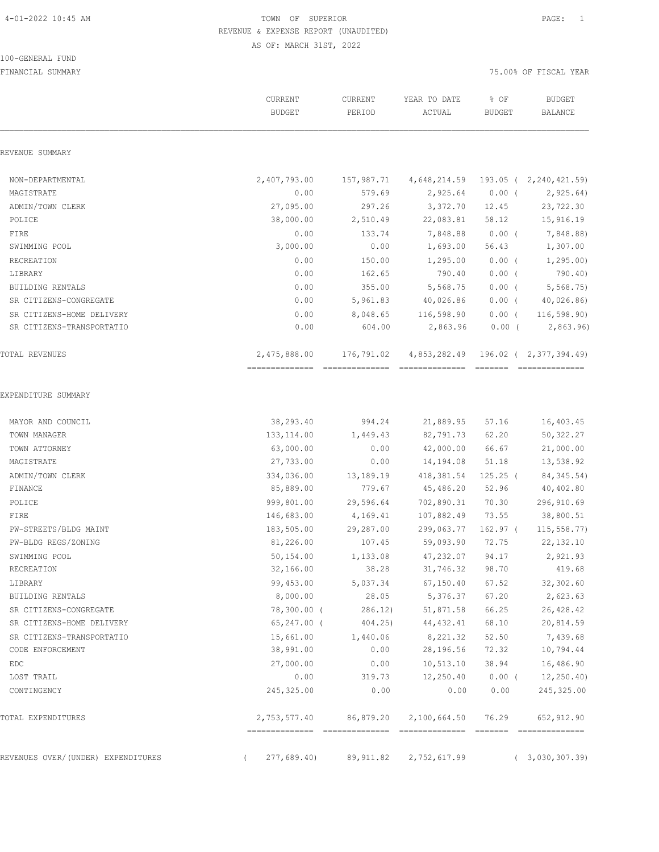100-GENERAL FUND

### 4-01-2022 10:45 AM TOWN OF SUPERIOR PAGE: 1 REVENUE & EXPENSE REPORT (UNAUDITED) AS OF: MARCH 31ST, 2022

|                                    | CURRENT<br><b>BUDGET</b> | CURRENT<br>PERIOD | YEAR TO DATE<br>ACTUAL | % OF<br><b>BUDGET</b> | <b>BUDGET</b><br>BALANCE            |
|------------------------------------|--------------------------|-------------------|------------------------|-----------------------|-------------------------------------|
| REVENUE SUMMARY                    |                          |                   |                        |                       |                                     |
| NON-DEPARTMENTAL                   | 2,407,793.00             | 157,987.71        |                        |                       | 4,648,214.59 193.05 ( 2,240,421.59) |
| MAGISTRATE                         | 0.00                     | 579.69            | 2,925.64               | $0.00$ (              | 2,925.64)                           |
| ADMIN/TOWN CLERK                   | 27,095.00                | 297.26            | 3,372.70               | 12.45                 | 23,722.30                           |
| POLICE                             | 38,000.00                | 2,510.49          | 22,083.81              | 58.12                 | 15,916.19                           |
| FIRE                               | 0.00                     | 133.74            | 7,848.88               | $0.00$ (              | 7,848.88)                           |
| SWIMMING POOL                      | 3,000.00                 | 0.00              | 1,693.00               | 56.43                 | 1,307.00                            |
| RECREATION                         | 0.00                     | 150.00            | 1,295.00               | $0.00$ (              | 1, 295.00                           |
| LIBRARY                            | 0.00                     | 162.65            | 790.40                 | $0.00$ (              | 790.40)                             |
| BUILDING RENTALS                   | 0.00                     | 355.00            | 5,568.75               | $0.00$ (              | 5,568.75                            |
| SR CITIZENS-CONGREGATE             | 0.00                     | 5,961.83          | 40,026.86              | $0.00$ (              | 40,026.86)                          |
| SR CITIZENS-HOME DELIVERY          | 0.00                     | 8,048.65          | 116,598.90             | $0.00$ (              | 116, 598.90                         |
| SR CITIZENS-TRANSPORTATIO          | 0.00                     | 604.00            | 2,863.96               | $0.00$ (              | 2,863.96                            |
| TOTAL REVENUES                     | 2,475,888.00 176,791.02  |                   |                        |                       | 4,853,282.49 196.02 ( 2,377,394.49) |
| EXPENDITURE SUMMARY                |                          |                   |                        |                       |                                     |
| MAYOR AND COUNCIL                  | 38,293.40                | 994.24            | 21,889.95              | 57.16                 | 16,403.45                           |
| TOWN MANAGER                       | 133, 114.00              | 1,449.43          | 82,791.73              | 62.20                 | 50,322.27                           |
| TOWN ATTORNEY                      | 63,000.00                | 0.00              | 42,000.00              | 66.67                 | 21,000.00                           |
| MAGISTRATE                         | 27,733.00                | 0.00              | 14,194.08              | 51.18                 | 13,538.92                           |
| ADMIN/TOWN CLERK                   | 334,036.00               | 13,189.19         | 418,381.54             | $125.25$ (            | 84, 345.54)                         |
| FINANCE                            | 85,889.00                | 779.67            | 45,486.20              | 52.96                 | 40,402.80                           |
| POLICE                             | 999,801.00               | 29,596.64         | 702,890.31             | 70.30                 | 296,910.69                          |
| FIRE                               | 146,683.00               | 4,169.41          | 107,882.49             | 73.55                 | 38,800.51                           |
| PW-STREETS/BLDG MAINT              | 183,505.00               | 29,287.00         | 299,063.77             | 162.97 (              | 115, 558.77                         |
| PW-BLDG REGS/ZONING                | 81,226.00                | 107.45            | 59,093.90              | 72.75                 | 22,132.10                           |
| SWIMMING POOL                      | 50,154.00                | 1,133.08          | 47,232.07              | 94.17                 | 2,921.93                            |
| RECREATION                         | 32,166.00                | 38.28             | 31,746.32 98.70        |                       | 419.68                              |
| LIBRARY                            | 99,453.00                | 5,037.34          | 67, 150.40             | 67.52                 | 32,302.60                           |
| BUILDING RENTALS                   | 8,000.00                 | 28.05             | 5,376.37               | 67.20                 | 2,623.63                            |
| SR CITIZENS-CONGREGATE             | 78,300.00 (              | 286.12            | 51,871.58              | 66.25                 | 26,428.42                           |
| SR CITIZENS-HOME DELIVERY          | $65, 247.00$ (           | 404.25)           | 44,432.41              | 68.10                 | 20,814.59                           |
| SR CITIZENS-TRANSPORTATIO          | 15,661.00                | 1,440.06          | 8,221.32               | 52.50                 | 7,439.68                            |
| CODE ENFORCEMENT                   | 38,991.00                | 0.00              | 28,196.56              | 72.32                 | 10,794.44                           |
| EDC                                | 27,000.00                | 0.00              | 10, 513.10             | 38.94                 | 16,486.90                           |
| LOST TRAIL                         | 0.00                     | 319.73            | 12,250.40              | $0.00$ (              | 12, 250.40                          |
| CONTINGENCY                        | 245,325.00               | 0.00              | 0.00                   | 0.00                  | 245, 325.00                         |
| TOTAL EXPENDITURES                 | 2,753,577.40             | 86,879.20         | 2,100,664.50           | 76.29                 | 652,912.90                          |
| REVENUES OVER/(UNDER) EXPENDITURES | 277,689.40)              | 89,911.82         | 2,752,617.99           |                       | (3,030,307.39)                      |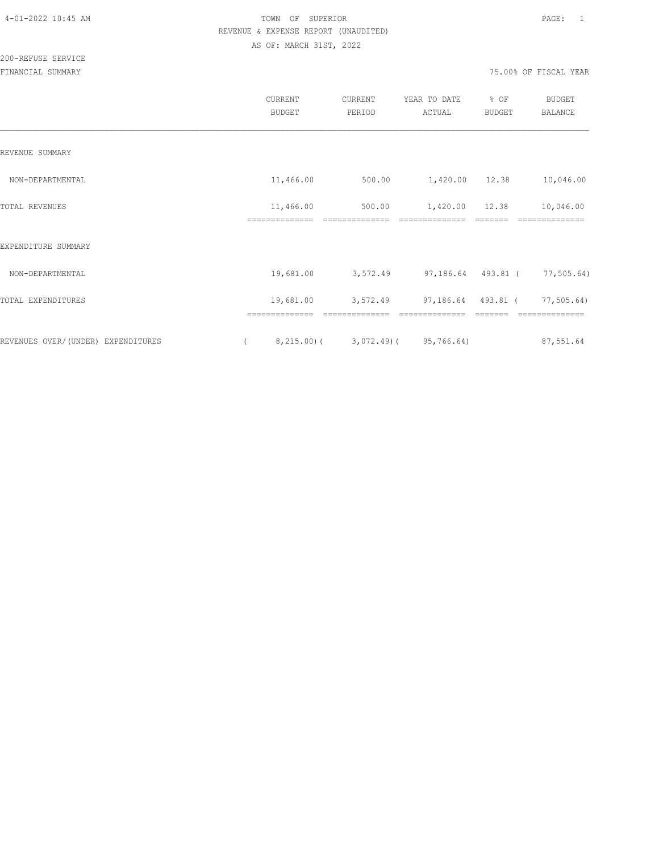200-REFUSE SERVICE

|                                    | CURRENT<br><b>BUDGET</b>    | CURRENT<br>PERIOD | YEAR TO DATE<br>ACTUAL | % OF<br><b>BUDGET</b> | BUDGET<br><b>BALANCE</b>      |
|------------------------------------|-----------------------------|-------------------|------------------------|-----------------------|-------------------------------|
| REVENUE SUMMARY                    |                             |                   |                        |                       |                               |
| NON-DEPARTMENTAL                   | 11,466.00                   | 500.00            | 1,420.00 12.38         |                       | 10,046.00                     |
| TOTAL REVENUES                     | 11,466.00<br>============== | 500.00            | 1,420.00 12.38         |                       | 10,046.00<br>==============   |
| EXPENDITURE SUMMARY                |                             |                   |                        |                       |                               |
| NON-DEPARTMENTAL                   | 19,681.00                   | 3,572.49          |                        |                       | 97,186.64 493.81 ( 77,505.64) |
| TOTAL EXPENDITURES                 | 19,681.00                   | 3,572.49          | 97,186.64 493.81 (     |                       | 77,505.64)                    |
| REVENUES OVER/(UNDER) EXPENDITURES | ==============<br>8,215.00( |                   | $3,072.49$ (95,766.64) |                       | 87,551.64                     |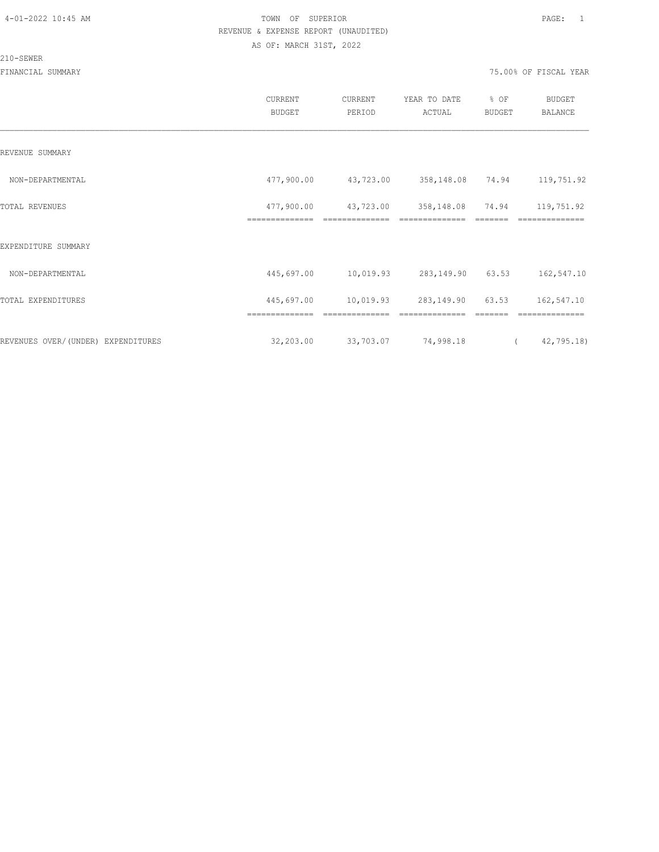210-SEWER

|                                    | CURRENT<br>BUDGET            | CURRENT<br>PERIOD           | YEAR TO DATE<br>ACTUAL       | % OF<br>BUDGET | <b>BUDGET</b><br>BALANCE |  |
|------------------------------------|------------------------------|-----------------------------|------------------------------|----------------|--------------------------|--|
| REVENUE SUMMARY                    |                              |                             |                              |                |                          |  |
| NON-DEPARTMENTAL                   | 477,900.00                   | 43,723.00                   | 358,148.08 74.94             |                | 119,751.92               |  |
| TOTAL REVENUES                     | 477,900.00<br>============== | 43,723.00<br>============== | 358,148.08<br>============== | 74.94          | 119,751.92<br>========== |  |
| EXPENDITURE SUMMARY                |                              |                             |                              |                |                          |  |
| NON-DEPARTMENTAL                   | 445,697.00                   | 10,019.93                   | 283,149.90                   | 63.53          | 162,547.10               |  |
| TOTAL EXPENDITURES                 | 445,697.00                   | 10,019.93                   | 283,149.90                   | 63.53          | 162,547.10               |  |
|                                    | --------------               |                             | --------------               |                | --------------           |  |
| REVENUES OVER/(UNDER) EXPENDITURES | 32,203.00                    | 33,703.07                   | 74,998.18                    | $\sqrt{2}$     | 42,795.18)               |  |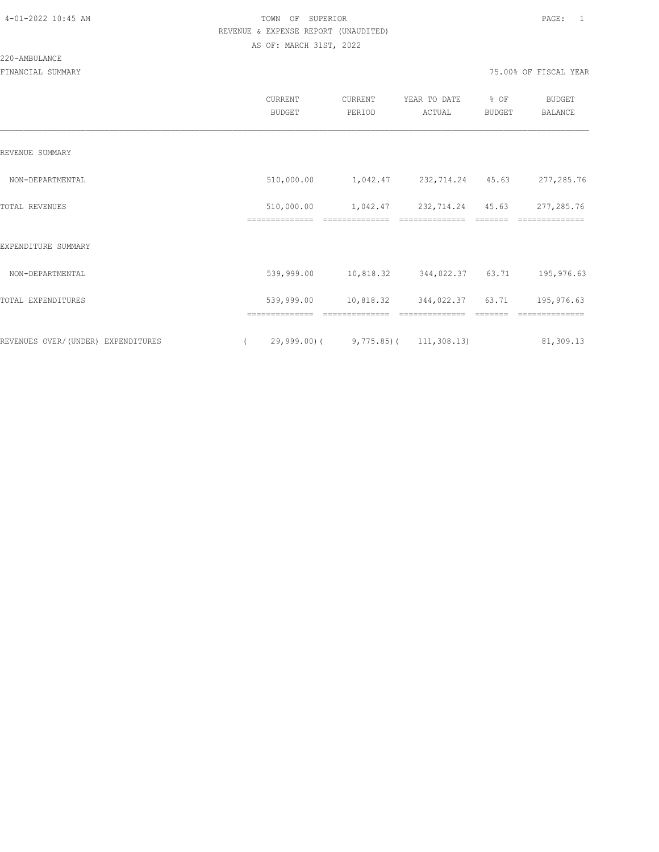|                                    | <b>CURRENT</b><br><b>BUDGET</b> | CURRENT<br>PERIOD | YEAR TO DATE<br>ACTUAL      | % OF<br>BUDGET | <b>BUDGET</b><br>BALANCE |
|------------------------------------|---------------------------------|-------------------|-----------------------------|----------------|--------------------------|
| REVENUE SUMMARY                    |                                 |                   |                             |                |                          |
| NON-DEPARTMENTAL                   | 510,000.00                      | 1,042.47          | 232,714.24                  | 45.63          | 277,285.76               |
| TOTAL REVENUES                     | 510,000.00                      | 1,042.47          | 232,714.24                  | 45.63          | 277,285.76               |
| EXPENDITURE SUMMARY                |                                 |                   |                             |                |                          |
| NON-DEPARTMENTAL                   | 539,999.00                      | 10,818.32         | 344,022.37                  | 63.71          | 195,976.63               |
| TOTAL EXPENDITURES                 | 539,999.00                      | 10,818.32         | 344,022.37                  | 63.71          | 195,976.63               |
| REVENUES OVER/(UNDER) EXPENDITURES | $29,999.00$ (                   |                   | $9,775.85$ ( $111,308.13$ ) |                | 81,309.13                |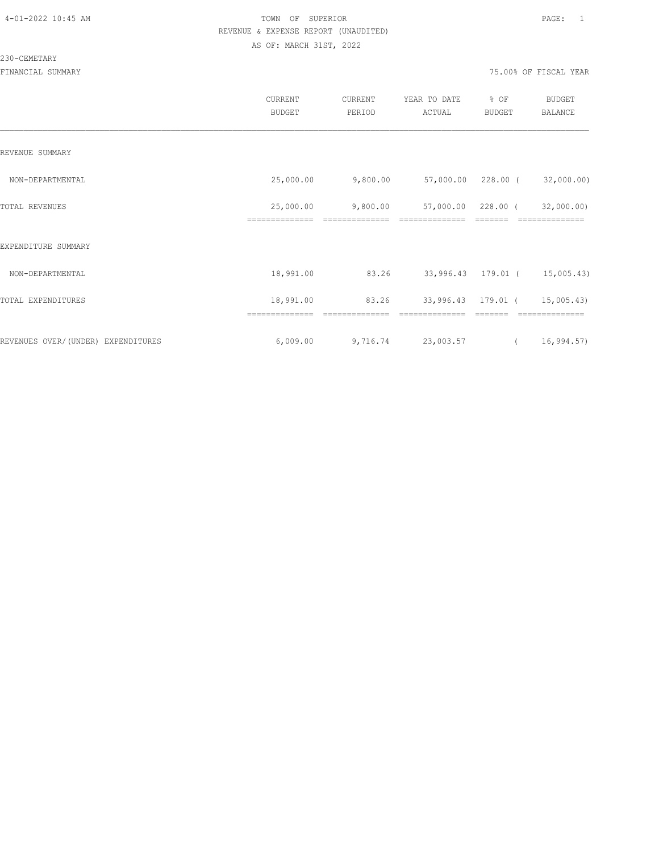### 230-CEMETARY

|                                    | CURRENT<br><b>BUDGET</b>    | CURRENT<br>PERIOD | YEAR TO DATE<br>ACTUAL | % OF<br>BUDGET     | <b>BUDGET</b><br>BALANCE      |
|------------------------------------|-----------------------------|-------------------|------------------------|--------------------|-------------------------------|
| REVENUE SUMMARY                    |                             |                   |                        |                    |                               |
| NON-DEPARTMENTAL                   | 25,000.00                   | 9,800.00          | 57,000.00 228.00 (     |                    | 32,000.00)                    |
| TOTAL REVENUES                     | 25,000.00<br>============== | 9,800.00          | 57,000.00              | 228.00 (           | 32,000.00)<br>==============  |
| EXPENDITURE SUMMARY                |                             |                   |                        |                    |                               |
| NON-DEPARTMENTAL                   | 18,991.00                   | 83.26             |                        |                    | 33,996.43 179.01 ( 15,005.43) |
| TOTAL EXPENDITURES                 | 18,991.00                   | 83.26             |                        | 33,996.43 179.01 ( | 15,005.43)                    |
| REVENUES OVER/(UNDER) EXPENDITURES | 6,009.00                    | 9,716.74          | 23,003.57              | $\overline{a}$     | 16,994.57)                    |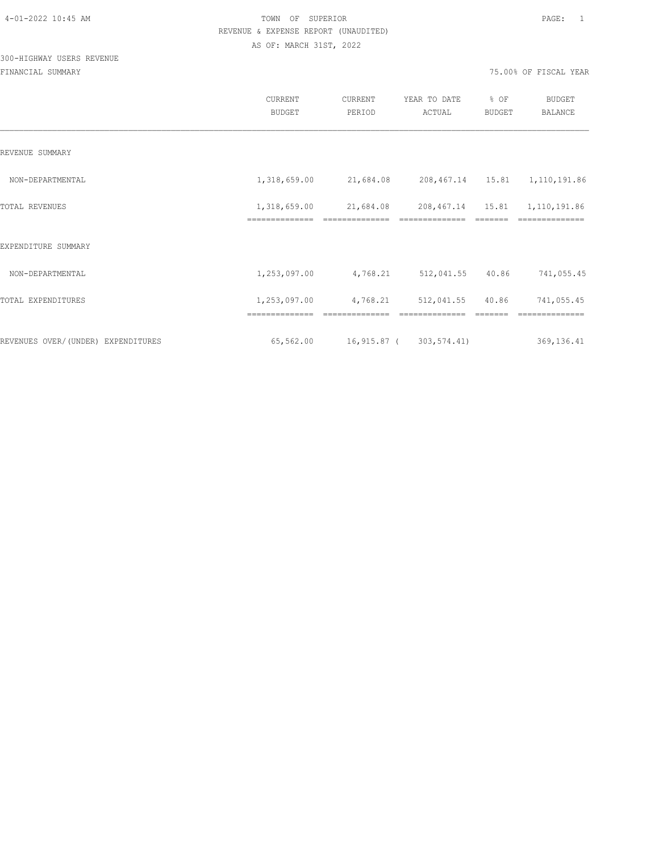# 300-HIGHWAY USERS REVENUE

|                                    | <b>CURRENT</b><br><b>BUDGET</b> | CURRENT<br>PERIOD      | YEAR TO DATE<br>ACTUAL          | % OF<br>BUDGET | BUDGET<br><b>BALANCE</b> |
|------------------------------------|---------------------------------|------------------------|---------------------------------|----------------|--------------------------|
| REVENUE SUMMARY                    |                                 |                        |                                 |                |                          |
| NON-DEPARTMENTAL                   | 1,318,659.00                    | 21,684.08              | 208,467.14  15.81  1,110,191.86 |                |                          |
| TOTAL REVENUES                     | 1,318,659.00<br>==============  | 21,684.08              | 208,467.14 15.81                |                | 1,110,191.86             |
| EXPENDITURE SUMMARY                |                                 |                        |                                 |                |                          |
| NON-DEPARTMENTAL                   | 1,253,097.00                    | 4,768.21               | 512,041.55                      | 40.86          | 741,055.45               |
| TOTAL EXPENDITURES                 | 1,253,097.00                    | 4,768.21               | 512,041.55                      | 40.86          | 741,055.45               |
|                                    |                                 |                        |                                 |                |                          |
| REVENUES OVER/(UNDER) EXPENDITURES | 65,562.00                       | 16,915.87 (303,574.41) |                                 |                | 369,136.41               |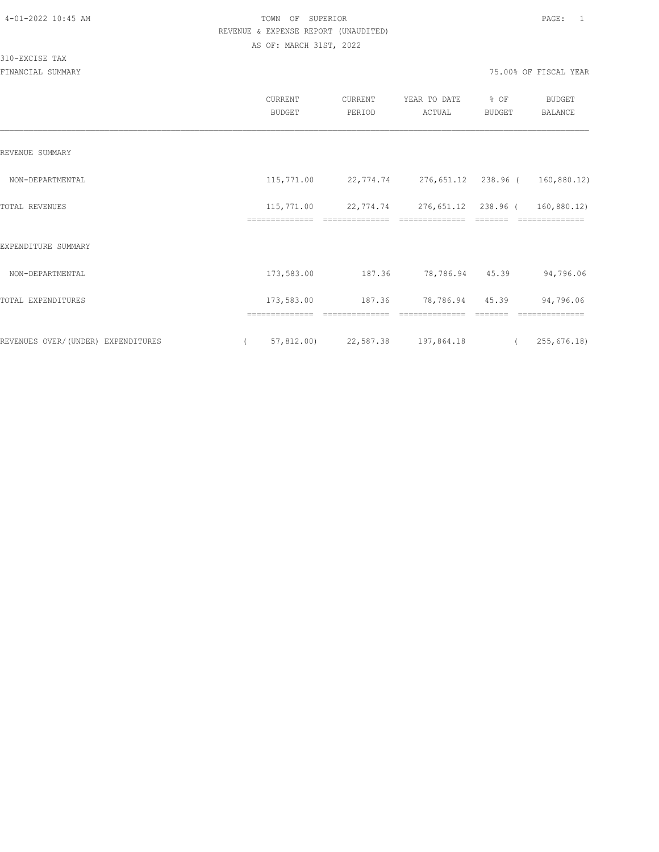310-EXCISE TAX

|                                    | CURRENT<br><b>BUDGET</b> | CURRENT<br>PERIOD               | YEAR TO DATE<br>ACTUAL                                                     | % OF<br><b>BUDGET</b>   | <b>BUDGET</b><br>BALANCE |
|------------------------------------|--------------------------|---------------------------------|----------------------------------------------------------------------------|-------------------------|--------------------------|
| REVENUE SUMMARY                    |                          |                                 |                                                                            |                         |                          |
| NON-DEPARTMENTAL                   |                          |                                 | $115,771.00$ $22,774.74$ $276,651.12$ $238.96$ (                           |                         | 160,880.12)              |
| TOTAL REVENUES                     | ==============           | ==============                  | 115,771.00  22,774.74  276,651.12  238.96  ( 160,880.12)<br>============== | $=$ $=$ $=$ $=$ $=$ $=$ | ==============           |
| EXPENDITURE SUMMARY                |                          |                                 |                                                                            |                         |                          |
| NON-DEPARTMENTAL                   | 173,583.00               | 187.36                          | 78,786.94 45.39                                                            |                         | 94,796.06                |
| TOTAL EXPENDITURES                 | 173,583.00               | 187.36                          | 78,786.94 45.39                                                            |                         | 94,796.06                |
| REVENUES OVER/(UNDER) EXPENDITURES |                          | 57,812.00) 22,587.38 197,864.18 |                                                                            |                         | (255, 676.18)            |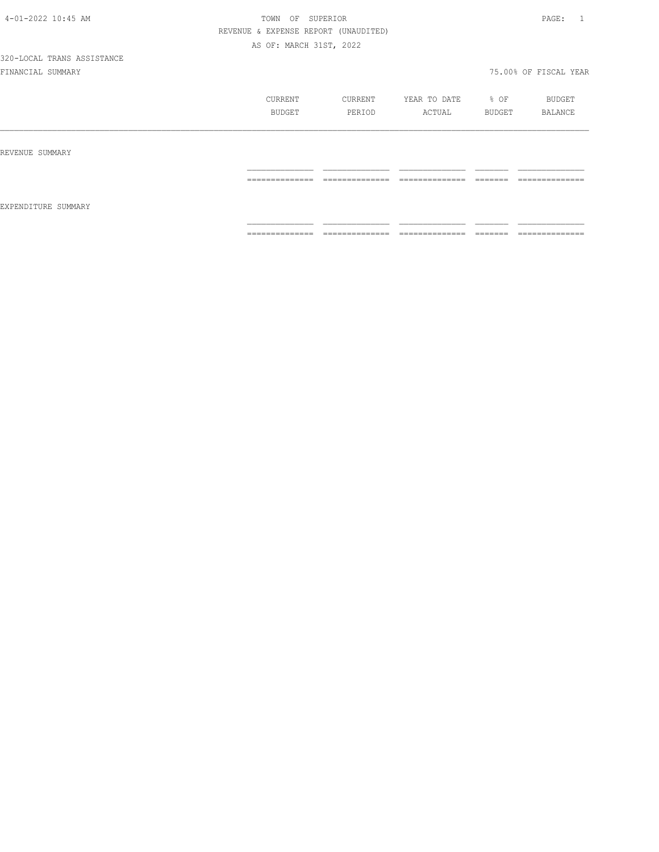|                     | CURRENT<br>BUDGET   | CURRENT<br>PERIOD                      | YEAR TO DATE<br>ACTUAL      | % OF<br>BUDGET      | BUDGET<br>BALANCE              |
|---------------------|---------------------|----------------------------------------|-----------------------------|---------------------|--------------------------------|
| REVENUE SUMMARY     |                     |                                        |                             |                     |                                |
| EXPENDITURE SUMMARY | --------------<br>. | ______________<br>--<br>______________ | ______________<br>_________ | --------<br>======  | ______________<br>------------ |
|                     | ==============      | ==============                         | ==============              | --------<br>------- | ==============                 |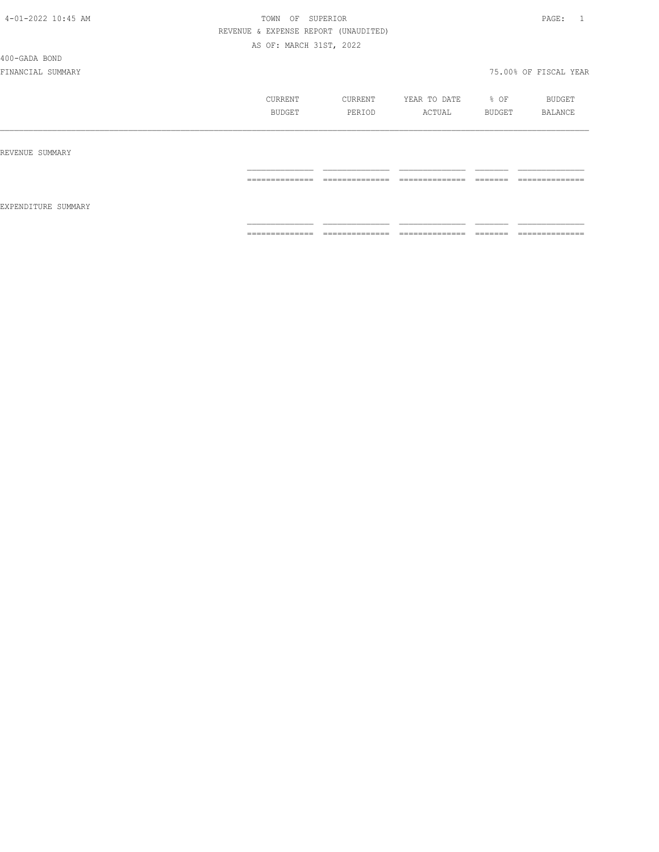400-GADA BOND

|                     | CURRENT<br>BUDGET | CURRENT<br>PERIOD               | YEAR TO DATE<br>ACTUAL            | % OF<br>BUDGET     | BUDGET<br>BALANCE              |
|---------------------|-------------------|---------------------------------|-----------------------------------|--------------------|--------------------------------|
| REVENUE SUMMARY     |                   |                                 |                                   |                    |                                |
| EXPENDITURE SUMMARY | ==============    | ______________<br>------------- | ______________<br>.               | --------<br>====== | ______________<br>------------ |
|                     | --------------    | ==============                  | ______________<br>--------------- | --------<br>====== | ==============                 |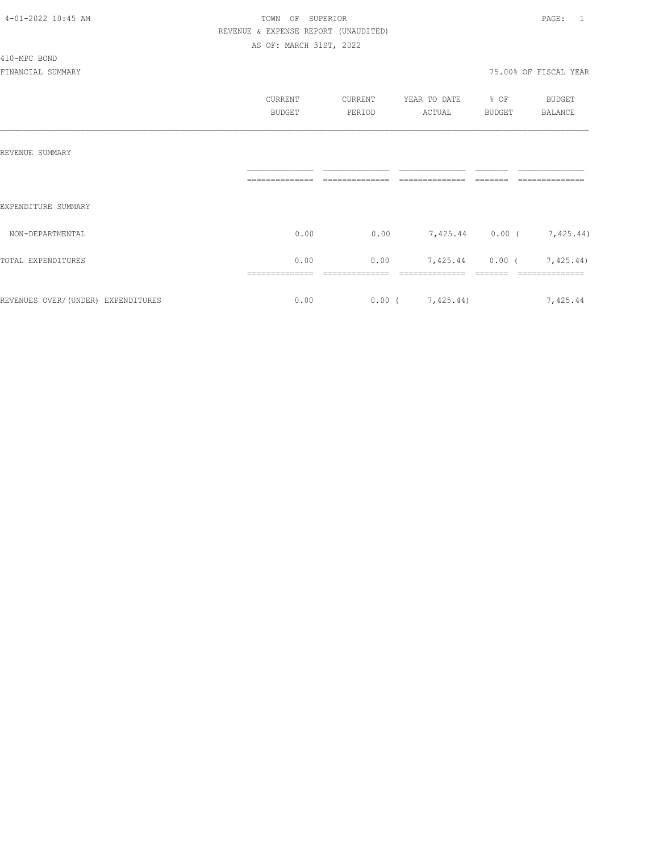### 410-MPC BOND

|                                    | CURRENT<br><b>BUDGET</b> | CURRENT<br>PERIOD | YEAR TO DATE<br>ACTUAL    | % OF<br><b>BUDGET</b> | <b>BUDGET</b><br>BALANCE  |
|------------------------------------|--------------------------|-------------------|---------------------------|-----------------------|---------------------------|
| REVENUE SUMMARY                    |                          |                   |                           |                       |                           |
| EXPENDITURE SUMMARY                |                          |                   |                           |                       |                           |
| NON-DEPARTMENTAL                   | 0.00                     | 0.00              | 7,425.44 0.00 ( 7,425.44) |                       |                           |
| TOTAL EXPENDITURES                 | 0.00                     | 0.00              |                           |                       | 7,425.44 0.00 ( 7,425.44) |
| REVENUES OVER/(UNDER) EXPENDITURES | 0.00                     |                   | $0.00$ ( $7,425.44$ )     |                       | 7,425.44                  |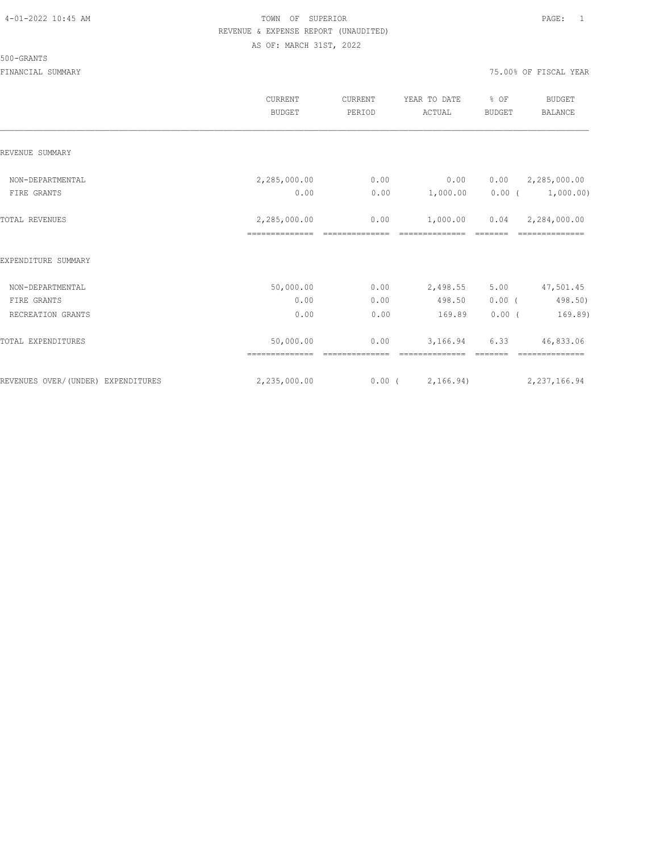### 500-GRANTS

|                                    | CURRENT<br><b>BUDGET</b> | CURRENT<br>PERIOD | YEAR TO DATE<br>ACTUAL | % OF<br><b>BUDGET</b> | <b>BUDGET</b><br><b>BALANCE</b> |
|------------------------------------|--------------------------|-------------------|------------------------|-----------------------|---------------------------------|
| REVENUE SUMMARY                    |                          |                   |                        |                       |                                 |
| NON-DEPARTMENTAL                   | 2,285,000.00             | 0.00              | 0.00                   | 0.00                  | 2,285,000.00                    |
| FIRE GRANTS                        | 0.00                     | 0.00              | 1,000.00               | $0.00$ (              | 1,000.00)                       |
| <b>TOTAL REVENUES</b>              | 2,285,000.00             | 0.00              | 1,000.00               | 0.04                  | 2,284,000.00                    |
| EXPENDITURE SUMMARY                |                          |                   |                        |                       |                                 |
| NON-DEPARTMENTAL                   | 50,000.00                | 0.00              | 2,498.55               | 5.00                  | 47,501.45                       |
| FIRE GRANTS                        | 0.00                     | 0.00              | 498.50                 | 0.00(                 | 498.50)                         |
| RECREATION GRANTS                  | 0.00                     | 0.00              | 169.89                 | 0.00(                 | 169.89)                         |
| TOTAL EXPENDITURES                 | 50,000.00                | 0.00              | 3,166.94               | 6.33                  | 46,833.06                       |
| REVENUES OVER/(UNDER) EXPENDITURES | 2,235,000.00             | 0.00(             | 2,166.94)              |                       | 2, 237, 166.94                  |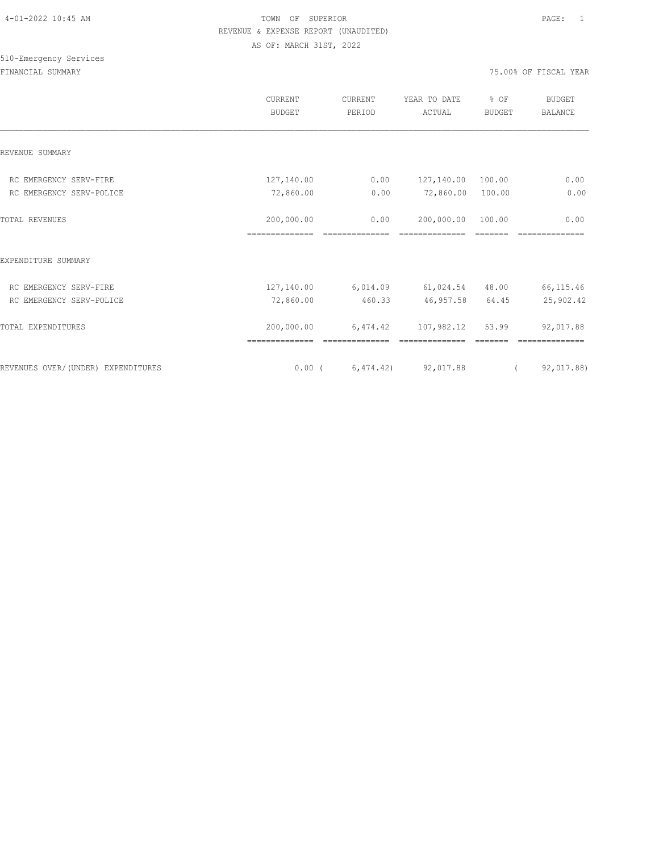# 510-Emergency Services

|                                     | CURRENT<br><b>BUDGET</b>     | CURRENT<br>PERIOD | YEAR TO DATE<br>ACTUAL          | % OF<br><b>BUDGET</b> | <b>BUDGET</b><br><b>BALANCE</b> |
|-------------------------------------|------------------------------|-------------------|---------------------------------|-----------------------|---------------------------------|
| REVENUE SUMMARY                     |                              |                   |                                 |                       |                                 |
| RC EMERGENCY SERV-FIRE              | 127,140.00                   | 0.00              | 127,140.00 100.00               |                       | 0.00                            |
| RC EMERGENCY SERV-POLICE            | 72,860.00                    | 0.00              | 72,860.00 100.00                |                       | 0.00                            |
| TOTAL REVENUES                      | 200,000.00<br>============== | 0.00              | 200,000.00<br>--------------    | 100.00                | 0.00                            |
| EXPENDITURE SUMMARY                 |                              |                   |                                 |                       |                                 |
| RC EMERGENCY SERV-FIRE              | 127,140.00 6,014.09          |                   | $61,024.54$ 48.00               |                       | 66, 115.46                      |
| RC EMERGENCY SERV-POLICE            | 72,860.00                    | 460.33            | 46,957.58                       | 64.45                 | 25,902.42                       |
| TOTAL EXPENDITURES                  | 200,000.00<br>============== | 6,474.42          | 107,982.12                      | 53.99                 | 92,017.88                       |
| REVENUES OVER/ (UNDER) EXPENDITURES |                              |                   | $0.00$ ( $6,474.42$ ) 92,017.88 | $\left($              | 92,017.88)                      |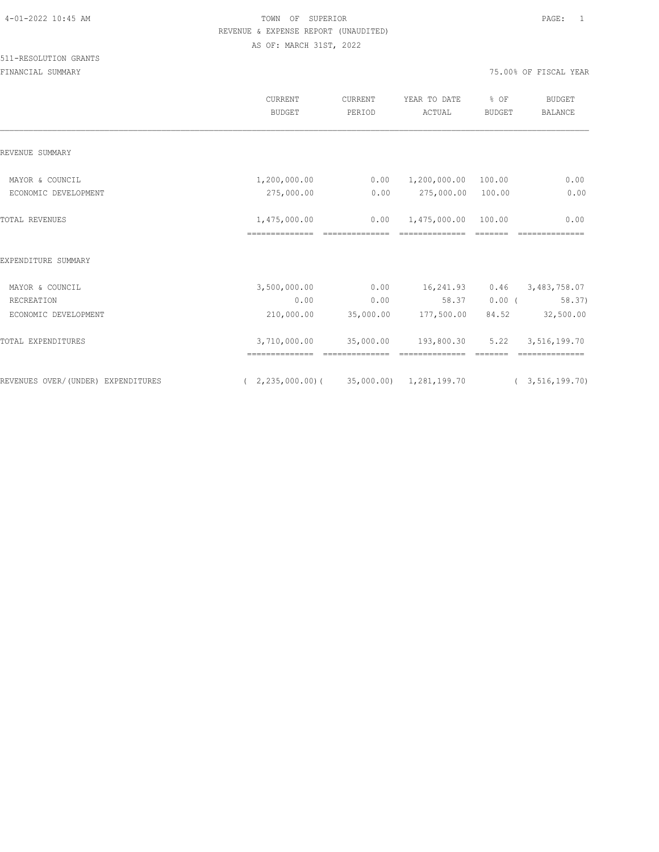### 511-RESOLUTION GRANTS

|                                    | CURRENT<br><b>BUDGET</b>                           | CURRENT<br>PERIOD           | YEAR TO DATE<br>ACTUAL       | % OF<br><b>BUDGET</b> | <b>BUDGET</b><br><b>BALANCE</b> |
|------------------------------------|----------------------------------------------------|-----------------------------|------------------------------|-----------------------|---------------------------------|
| REVENUE SUMMARY                    |                                                    |                             |                              |                       |                                 |
| MAYOR & COUNCIL                    | 1,200,000.00                                       | 0.00                        | 1,200,000.00 100.00          |                       | 0.00                            |
| ECONOMIC DEVELOPMENT               | 275,000.00                                         | 0.00                        | 275,000.00                   | 100.00                | 0.00                            |
| <b>TOTAL REVENUES</b>              | 1,475,000.00                                       | 0.00                        | 1,475,000.00 100.00          |                       | 0.00                            |
| EXPENDITURE SUMMARY                |                                                    |                             |                              |                       |                                 |
| MAYOR & COUNCIL                    | 3,500,000.00                                       | 0.00                        | 16,241.93                    | 0.46                  | 3,483,758.07                    |
| RECREATION                         | 0.00                                               | 0.00                        | 58.37                        | $0.00$ (              | 58.37)                          |
| ECONOMIC DEVELOPMENT               | 210,000.00                                         | 35,000.00                   | 177,500.00                   | 84.52                 | 32,500.00                       |
| TOTAL EXPENDITURES                 | 3,710,000.00                                       | 35,000.00<br>============== | 193,800.30<br>============== | 5.22<br>--------      | 3,516,199.70<br>==============  |
| REVENUES OVER/(UNDER) EXPENDITURES | $(2, 235, 000.00)$ $(35, 000.00)$ $1, 281, 199.70$ |                             |                              |                       | (3, 516, 199.70)                |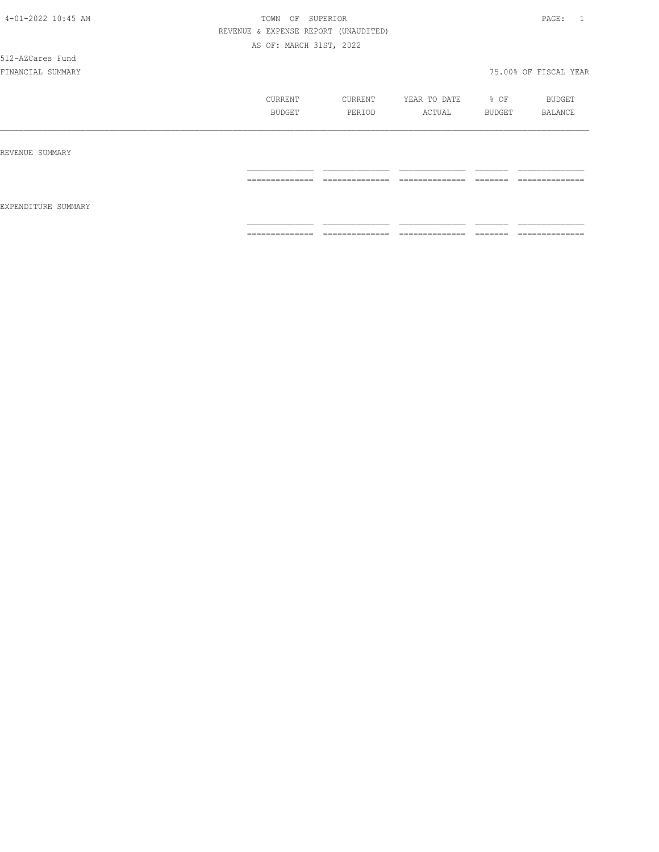512-AZCares Fund

|                     | CURRENT<br>BUDGET    | CURRENT<br>PERIOD                 | YEAR TO DATE<br>ACTUAL            | % OF<br>BUDGET      | BUDGET<br>BALANCE                  |
|---------------------|----------------------|-----------------------------------|-----------------------------------|---------------------|------------------------------------|
| REVENUE SUMMARY     |                      |                                   |                                   |                     |                                    |
| EXPENDITURE SUMMARY | ==============       | ______________<br>--------------- | ______________<br>--------------- | --------<br>------- | ______________<br>---------------- |
|                     | ---------------<br>. | --------------<br>.               | --------------<br>--------------  | --------<br>------- | --------------<br>_______________  |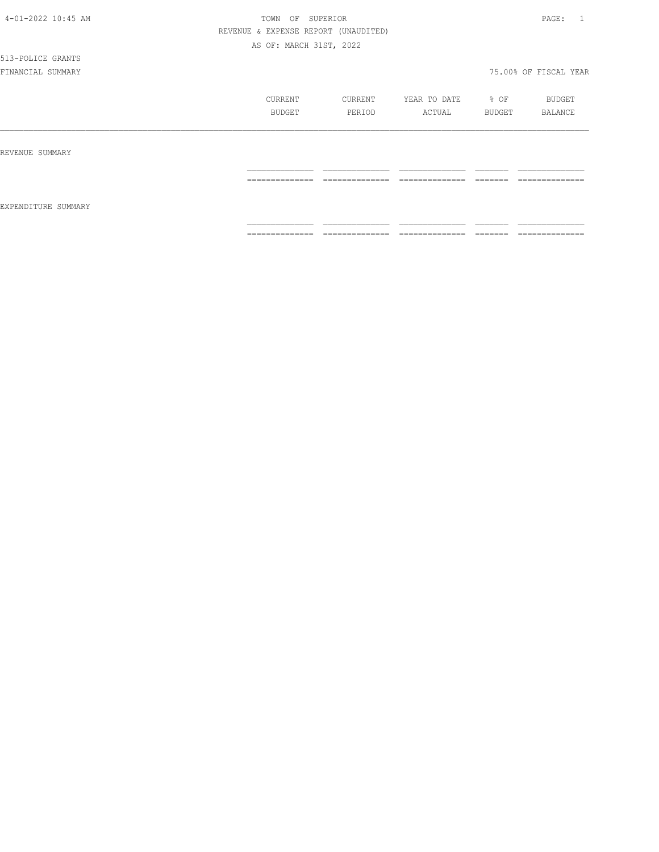## 513-POLICE GRANTS

|                     | CURRENT         | CURRENT                           | YEAR TO DATE         | % OF               | BUDGET              |
|---------------------|-----------------|-----------------------------------|----------------------|--------------------|---------------------|
|                     | BUDGET          | PERIOD                            | ACTUAL               | BUDGET             | BALANCE             |
| REVENUE SUMMARY     |                 |                                   |                      |                    |                     |
| EXPENDITURE SUMMARY | --------------  | ---------------                   | ---------------      | -------            | --------------      |
|                     | --------------- | _______________                   | _______________      | ________           | _______________     |
|                     | ==============  | --------------<br>--------------- | ---------------<br>. | --------<br>====== | --------------<br>. |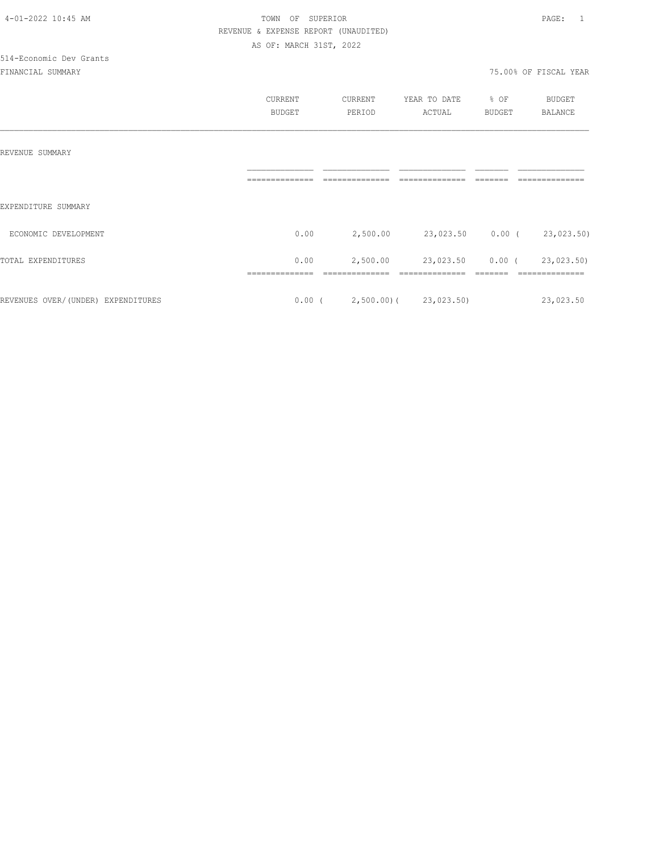|                                    | CURRENT<br><b>BUDGET</b> | CURRENT<br>PERIOD               | YEAR TO DATE<br>ACTUAL | % OF<br><b>BUDGET</b> | <b>BUDGET</b><br><b>BALANCE</b> |
|------------------------------------|--------------------------|---------------------------------|------------------------|-----------------------|---------------------------------|
|                                    |                          |                                 |                        |                       |                                 |
| REVENUE SUMMARY                    |                          |                                 |                        |                       |                                 |
|                                    |                          |                                 |                        |                       |                                 |
| EXPENDITURE SUMMARY                |                          |                                 |                        |                       |                                 |
| ECONOMIC DEVELOPMENT               | 0.00                     | 2,500.00                        | 23,023.50 0.00 (       |                       | 23,023.50)                      |
| TOTAL EXPENDITURES                 | 0.00                     | 2,500.00                        | 23,023.50              | $0.00$ (              | 23,023.50)                      |
| REVENUES OVER/(UNDER) EXPENDITURES |                          | $0.00$ ( 2,500.00) ( 23,023.50) |                        |                       | 23,023.50                       |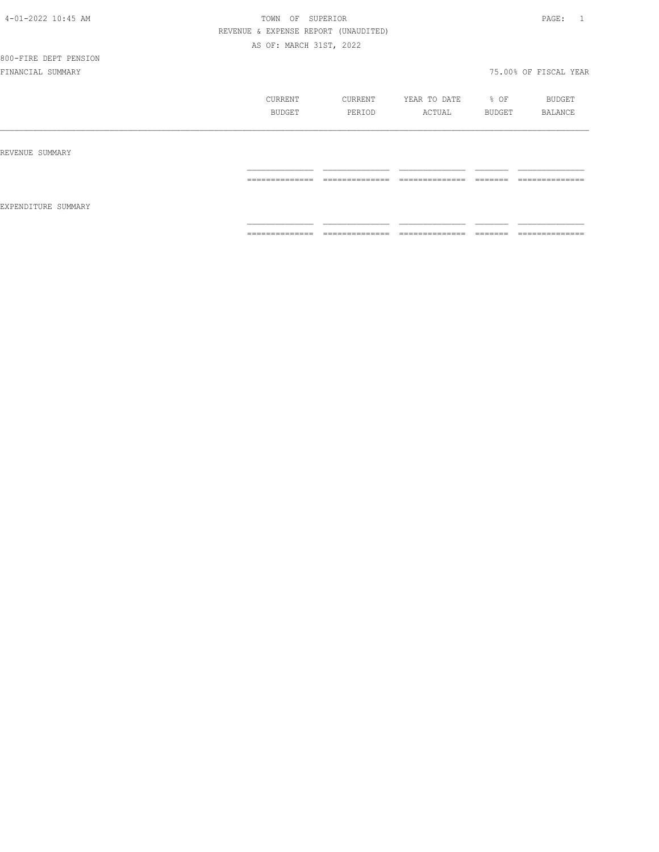## 800-FIRE DEPT PENSION

|                     | CURRENT                            | CURRENT                                                                                                                                                                                                                                                                                                                                                                                                                                                       | YEAR TO DATE                       | % OF                | BUDGET                            |
|---------------------|------------------------------------|---------------------------------------------------------------------------------------------------------------------------------------------------------------------------------------------------------------------------------------------------------------------------------------------------------------------------------------------------------------------------------------------------------------------------------------------------------------|------------------------------------|---------------------|-----------------------------------|
|                     | BUDGET                             | PERIOD                                                                                                                                                                                                                                                                                                                                                                                                                                                        | ACTUAL                             | BUDGET              | BALANCE                           |
| REVENUE SUMMARY     |                                    |                                                                                                                                                                                                                                                                                                                                                                                                                                                               |                                    |                     |                                   |
| EXPENDITURE SUMMARY | ______________                     | ______________                                                                                                                                                                                                                                                                                                                                                                                                                                                | _______________                    | --------            | ______________                    |
|                     | ----------------                   | ---------------                                                                                                                                                                                                                                                                                                                                                                                                                                               | _______________                    | -------             | _______________                   |
|                     | ______________<br>---------------- | $\begin{array}{c} \multicolumn{2}{c} {\textbf{2.5}} \multicolumn{2}{c} {\textbf{2.5}} \multicolumn{2}{c} {\textbf{2.5}} \multicolumn{2}{c} {\textbf{2.5}} \multicolumn{2}{c} {\textbf{2.5}} \multicolumn{2}{c} {\textbf{2.5}} \multicolumn{2}{c} {\textbf{2.5}} \multicolumn{2}{c} {\textbf{2.5}} \multicolumn{2}{c} {\textbf{2.5}} \multicolumn{2}{c} {\textbf{2.5}} \multicolumn{2}{c} {\textbf{2.5}} \multicolumn{2}{c} {\textbf{2.5}} \multicolumn{2}{c}$ | _______________<br>_______________ | --------<br>------- | ______________<br>_______________ |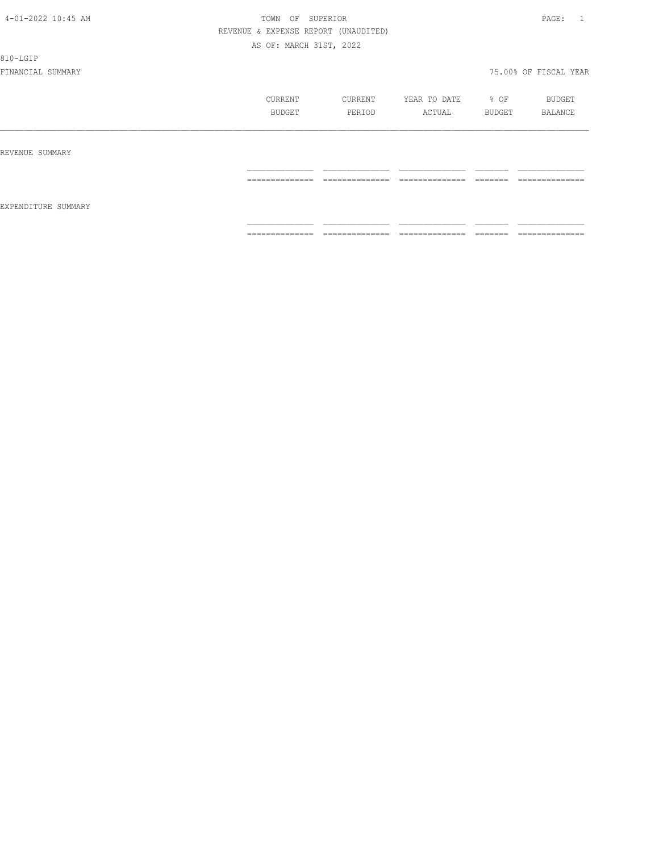810-LGIP

|                     | CURRENT<br>BUDGET | CURRENT<br>PERIOD                                                                                                                                                                                                                                                                                                                                                                                                                                                                            | YEAR TO DATE<br>ACTUAL                                                                                                                                                                                                                                                                                                                                                                                                                                                                 | % OF<br>BUDGET                                                                                                                                                                                                                                                                                                                                                                                                                                         | <b>BUDGET</b><br>BALANCE       |
|---------------------|-------------------|----------------------------------------------------------------------------------------------------------------------------------------------------------------------------------------------------------------------------------------------------------------------------------------------------------------------------------------------------------------------------------------------------------------------------------------------------------------------------------------------|----------------------------------------------------------------------------------------------------------------------------------------------------------------------------------------------------------------------------------------------------------------------------------------------------------------------------------------------------------------------------------------------------------------------------------------------------------------------------------------|--------------------------------------------------------------------------------------------------------------------------------------------------------------------------------------------------------------------------------------------------------------------------------------------------------------------------------------------------------------------------------------------------------------------------------------------------------|--------------------------------|
| REVENUE SUMMARY     |                   |                                                                                                                                                                                                                                                                                                                                                                                                                                                                                              |                                                                                                                                                                                                                                                                                                                                                                                                                                                                                        |                                                                                                                                                                                                                                                                                                                                                                                                                                                        |                                |
| EXPENDITURE SUMMARY | ==============    | ______________<br>_______________                                                                                                                                                                                                                                                                                                                                                                                                                                                            | ______________<br>.                                                                                                                                                                                                                                                                                                                                                                                                                                                                    | --------<br>-------                                                                                                                                                                                                                                                                                                                                                                                                                                    | --------------<br>------------ |
|                     | ==============    | $\begin{array}{c} \multicolumn{2}{c} {\textbf{1}} & \multicolumn{2}{c} {\textbf{2}} & \multicolumn{2}{c} {\textbf{3}} & \multicolumn{2}{c} {\textbf{4}} \\ \multicolumn{2}{c} {\textbf{5}} & \multicolumn{2}{c} {\textbf{6}} & \multicolumn{2}{c} {\textbf{7}} & \multicolumn{2}{c} {\textbf{8}} & \multicolumn{2}{c} {\textbf{9}} \\ \multicolumn{2}{c} {\textbf{1}} & \multicolumn{2}{c} {\textbf{1}} & \multicolumn{2}{c} {\textbf{1}} & \multicolumn{2}{c} {\textbf{1}} & \multicolumn{$ | $\begin{array}{cccccccccc} \multicolumn{2}{c}{} & \multicolumn{2}{c}{} & \multicolumn{2}{c}{} & \multicolumn{2}{c}{} & \multicolumn{2}{c}{} & \multicolumn{2}{c}{} & \multicolumn{2}{c}{} & \multicolumn{2}{c}{} & \multicolumn{2}{c}{} & \multicolumn{2}{c}{} & \multicolumn{2}{c}{} & \multicolumn{2}{c}{} & \multicolumn{2}{c}{} & \multicolumn{2}{c}{} & \multicolumn{2}{c}{} & \multicolumn{2}{c}{} & \multicolumn{2}{c}{} & \multicolumn{2}{c}{} & \multicolumn{2}{c}{} & \mult$ | $\begin{tabular}{ll} \multicolumn{3}{c}{\textbf{2.5}} & \multicolumn{3}{c}{\textbf{2.5}} & \multicolumn{3}{c}{\textbf{2.5}} \\ \multicolumn{3}{c}{\textbf{3.5}} & \multicolumn{3}{c}{\textbf{4.5}} & \multicolumn{3}{c}{\textbf{5.5}} \\ \multicolumn{3}{c}{\textbf{5.5}} & \multicolumn{3}{c}{\textbf{6.5}} & \multicolumn{3}{c}{\textbf{7.5}} \\ \multicolumn{3}{c}{\textbf{6.5}} & \multicolumn{3}{c}{\textbf{7.5}} & \multicolumn{3}{c}{\textbf{8$ | --------------                 |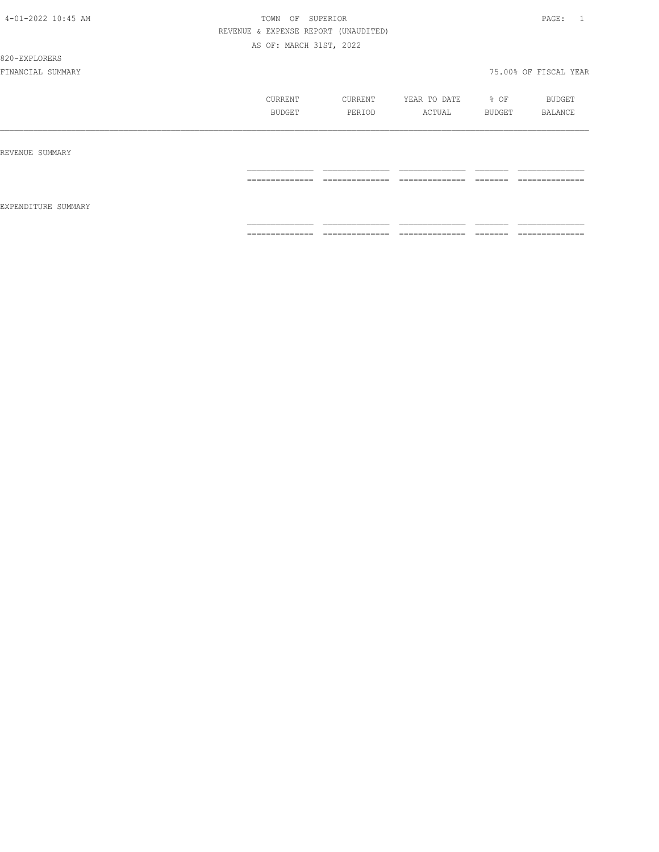### 820-EXPLORERS

|                     | CURRENT<br>BUDGET | CURRENT<br>PERIOD               | YEAR TO DATE<br>ACTUAL               | % OF<br>BUDGET     | BUDGET<br><b>BALANCE</b>          |
|---------------------|-------------------|---------------------------------|--------------------------------------|--------------------|-----------------------------------|
| REVENUE SUMMARY     |                   |                                 |                                      |                    |                                   |
|                     | ==============    | --------------<br>------------- | ---------------<br>=-<br>----------- | -------<br>------- | --------------<br>_______________ |
| EXPENDITURE SUMMARY |                   |                                 |                                      |                    |                                   |
|                     | ==============    | ==============                  | ==============                       |                    | --------------<br>.               |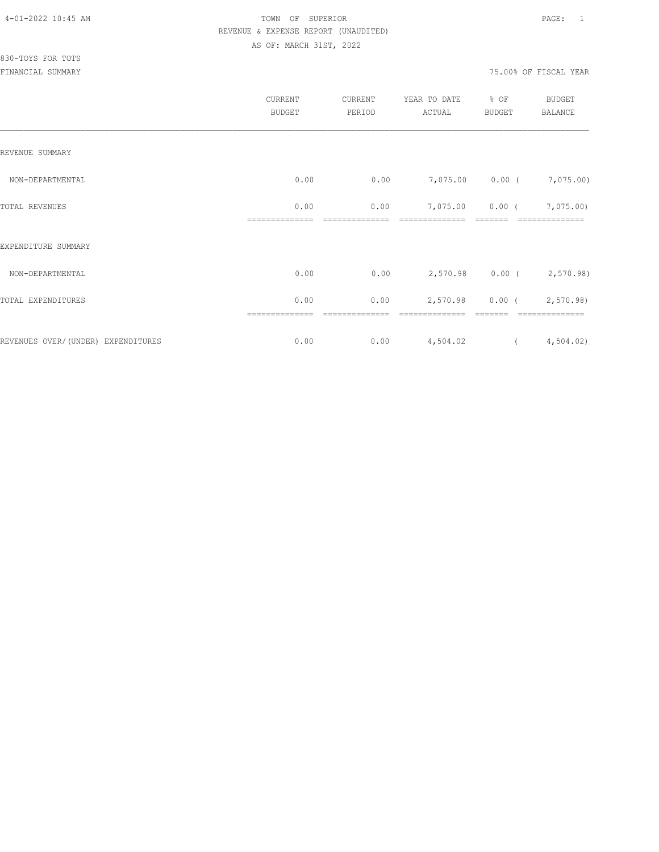|                                    | CURRENT<br><b>BUDGET</b> | CURRENT<br>PERIOD | YEAR TO DATE<br>ACTUAL | % OF<br><b>BUDGET</b> | <b>BUDGET</b><br><b>BALANCE</b> |
|------------------------------------|--------------------------|-------------------|------------------------|-----------------------|---------------------------------|
| REVENUE SUMMARY                    |                          |                   |                        |                       |                                 |
| NON-DEPARTMENTAL                   | 0.00                     | 0.00              |                        | 7,075.00 0.00 (       | 7,075.00)                       |
| TOTAL REVENUES                     | 0.00                     | 0.00              | 7,075.00               |                       | $0.00$ ( $7,075.00$ )           |
| EXPENDITURE SUMMARY                | ==========               |                   |                        |                       | ==============                  |
| NON-DEPARTMENTAL                   | 0.00                     | 0.00              | 2,570.98               | $0.00$ (              | 2,570.98)                       |
| TOTAL EXPENDITURES                 | 0.00                     | 0.00              | 2,570.98               | $0.00$ (              | 2,570.98                        |
|                                    | ==============           |                   | ==============         |                       | ==============                  |
| REVENUES OVER/(UNDER) EXPENDITURES | 0.00                     | 0.00              | 4,504.02               | $\left($              | 4,504.02                        |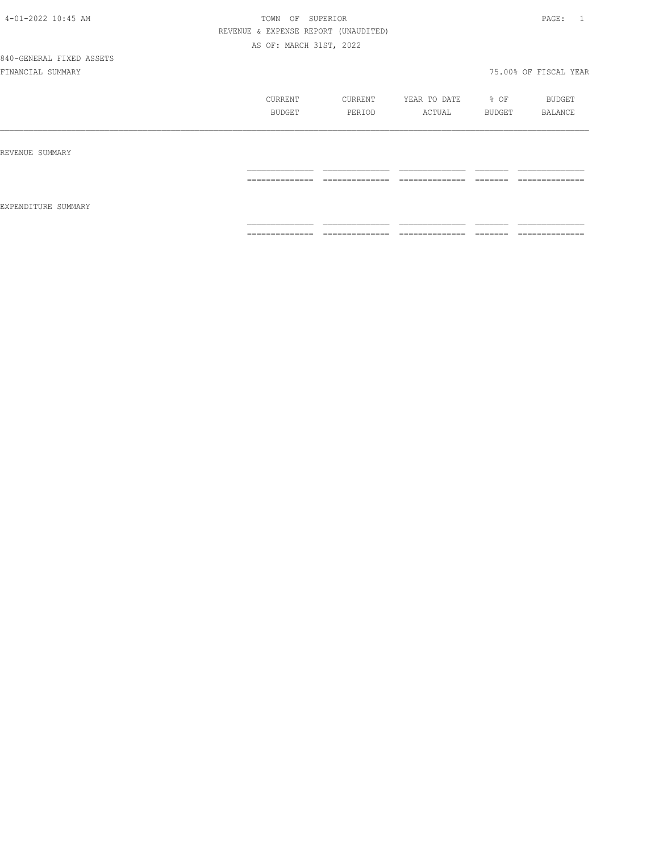840-GENERAL FIXED ASSETS

|                     | CURRENT<br>BUDGET                                                                                                                                                                                                                                                                                                                                                                                                                                                                            | CURRENT<br>PERIOD                 | YEAR TO DATE<br>ACTUAL                                                                                                                                                                                                                                                                                                                                                                                                                                                                       | % OF<br>BUDGET                                                                                                                                                                                                                                                                                                                                                                                                                                                                                                                                                    | BUDGET<br>BALANCE                 |
|---------------------|----------------------------------------------------------------------------------------------------------------------------------------------------------------------------------------------------------------------------------------------------------------------------------------------------------------------------------------------------------------------------------------------------------------------------------------------------------------------------------------------|-----------------------------------|----------------------------------------------------------------------------------------------------------------------------------------------------------------------------------------------------------------------------------------------------------------------------------------------------------------------------------------------------------------------------------------------------------------------------------------------------------------------------------------------|-------------------------------------------------------------------------------------------------------------------------------------------------------------------------------------------------------------------------------------------------------------------------------------------------------------------------------------------------------------------------------------------------------------------------------------------------------------------------------------------------------------------------------------------------------------------|-----------------------------------|
| REVENUE SUMMARY     |                                                                                                                                                                                                                                                                                                                                                                                                                                                                                              |                                   |                                                                                                                                                                                                                                                                                                                                                                                                                                                                                              |                                                                                                                                                                                                                                                                                                                                                                                                                                                                                                                                                                   |                                   |
|                     | ______________<br>---------------                                                                                                                                                                                                                                                                                                                                                                                                                                                            | ______________<br>.               | ______________<br>______________                                                                                                                                                                                                                                                                                                                                                                                                                                                             | --------<br>-------                                                                                                                                                                                                                                                                                                                                                                                                                                                                                                                                               | ______________<br>--------------  |
| EXPENDITURE SUMMARY |                                                                                                                                                                                                                                                                                                                                                                                                                                                                                              |                                   |                                                                                                                                                                                                                                                                                                                                                                                                                                                                                              |                                                                                                                                                                                                                                                                                                                                                                                                                                                                                                                                                                   |                                   |
|                     | $\begin{array}{c} \multicolumn{2}{c} {\textbf{1}} & \multicolumn{2}{c} {\textbf{2}} & \multicolumn{2}{c} {\textbf{3}} & \multicolumn{2}{c} {\textbf{4}} \\ \multicolumn{2}{c} {\textbf{2}} & \multicolumn{2}{c} {\textbf{3}} & \multicolumn{2}{c} {\textbf{4}} & \multicolumn{2}{c} {\textbf{5}} & \multicolumn{2}{c} {\textbf{6}} \\ \multicolumn{2}{c} {\textbf{5}} & \multicolumn{2}{c} {\textbf{6}} & \multicolumn{2}{c} {\textbf{7}} & \multicolumn{2}{c} {\textbf{8}} & \multicolumn{$ | ______________<br>_______________ | $\begin{array}{c} \multicolumn{2}{c} {\textbf{1}} & \multicolumn{2}{c} {\textbf{2}} & \multicolumn{2}{c} {\textbf{3}} & \multicolumn{2}{c} {\textbf{4}} \\ \multicolumn{2}{c} {\textbf{2}} & \multicolumn{2}{c} {\textbf{3}} & \multicolumn{2}{c} {\textbf{4}} & \multicolumn{2}{c} {\textbf{5}} & \multicolumn{2}{c} {\textbf{6}} \\ \multicolumn{2}{c} {\textbf{5}} & \multicolumn{2}{c} {\textbf{6}} & \multicolumn{2}{c} {\textbf{7}} & \multicolumn{2}{c} {\textbf{8}} & \multicolumn{$ | $\begin{array}{c} \begin{array}{c} \begin{array}{c} \begin{array}{c} \begin{array}{c} \end{array}\\ \end{array}\\ \end{array} \end{array} \end{array} \end{array} \end{array} \end{array} \end{array} \begin{array}{c} \begin{array}{c} \begin{array}{c} \begin{array}{c} \end{array}\\ \end{array} \end{array} \end{array} \end{array} \begin{array}{c} \begin{array}{c} \begin{array}{c} \end{array}\\ \end{array} \end{array} \end{array} \begin{array}{c} \begin{array}{c} \begin{array}{c} \end{array}\\ \end{array} \end{array} \end{array} \begin{array}{$ | ______________<br>--------------- |